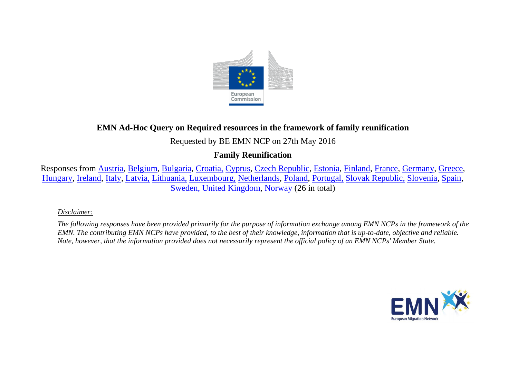

# **EMN Ad-Hoc Query on Required resources in the framework of family reunification**

## Requested by BE EMN NCP on 27th May 2016

## **Family Reunification**

Responses from [Austria,](#page-2-0) [Belgium,](#page-2-1) [Bulgaria,](#page-3-0) [Croatia,](#page-3-1) [Cyprus,](#page-3-2) [Czech Republic,](#page-3-3) [Estonia,](#page-4-0) [Finland,](#page-4-1) [France,](#page-5-0) [Germany,](#page-6-0) [Greece,](#page-6-1) [Hungary,](#page-7-0) [Ireland,](#page-7-1) [Italy,](#page-7-2) [Latvia,](#page-7-3) [Lithuania,](#page-7-4) [Luxembourg,](#page-8-0) [Netherlands,](#page-8-1) [Poland,](#page-8-2) [Portugal,](#page-8-3) [Slovak Republic,](#page-9-0) [Slovenia,](#page-9-1) [Spain,](#page-9-2) [Sweden,](#page-9-3) [United Kingdom,](#page-10-0) [Norway](#page-11-0) (26 in total)

### *Disclaimer:*

*The following responses have been provided primarily for the purpose of information exchange among EMN NCPs in the framework of the EMN. The contributing EMN NCPs have provided, to the best of their knowledge, information that is up-to-date, objective and reliable. Note, however, that the information provided does not necessarily represent the official policy of an EMN NCPs' Member State.*

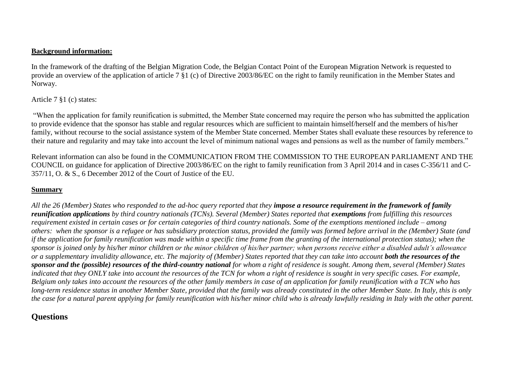#### **Background information:**

In the framework of the drafting of the Belgian Migration Code, the Belgian Contact Point of the European Migration Network is requested to provide an overview of the application of article 7 §1 (c) of Directive 2003/86/EC on the right to family reunification in the Member States and Norway.

### Article 7 §1 (c) states:

"When the application for family reunification is submitted, the Member State concerned may require the person who has submitted the application to provide evidence that the sponsor has stable and regular resources which are sufficient to maintain himself/herself and the members of his/her family, without recourse to the social assistance system of the Member State concerned. Member States shall evaluate these resources by reference to their nature and regularity and may take into account the level of minimum national wages and pensions as well as the number of family members."

Relevant information can also be found in the COMMUNICATION FROM THE COMMISSION TO THE EUROPEAN PARLIAMENT AND THE COUNCIL on guidance for application of Directive 2003/86/EC on the right to family reunification from 3 April 2014 and in cases C-356/11 and C-357/11, O. & S., 6 December 2012 of the Court of Justice of the EU.

### **Summary**

All the 26 (Member) States who responded to the ad-hoc query reported that they **impose a resource requirement in the framework of family** *reunification applications* by third country nationals (TCNs). Several (Member) States reported that exemptions from fulfilling this resources *requirement existed in certain cases or for certain categories of third country nationals. Some of the exemptions mentioned include – among others: when the sponsor is a refugee or has subsidiary protection status, provided the family was formed before arrival in the (Member) State (and if the application for family reunification was made within a specific time frame from the granting of the international protection status); when the sponsor is joined only by his/her minor children or the minor children of his/her partner; when persons receive either a disabled adult's allowance or a supplementary invalidity allowance, etc. The majority of (Member) States reported that they can take into account both the resources of the sponsor and the (possible) resources of the third-country national for whom a right of residence is sought. Among them, several (Member) States indicated that they ONLY take into account the resources of the TCN for whom a right of residence is sought in very specific cases. For example, Belgium only takes into account the resources of the other family members in case of an application for family reunification with a TCN who has long-term residence status in another Member State, provided that the family was already constituted in the other Member State. In Italy, this is only the case for a natural parent applying for family reunification with his/her minor child who is already lawfully residing in Italy with the other parent.* 

### **Questions**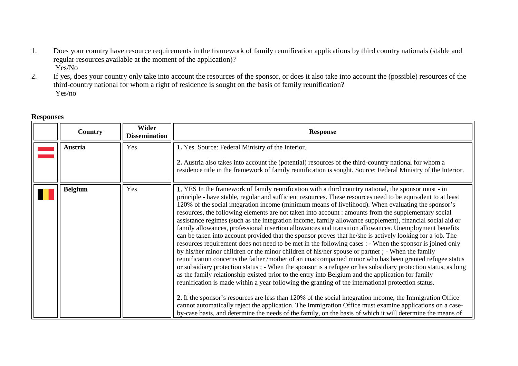- 1. Does your country have resource requirements in the framework of family reunification applications by third country nationals (stable and regular resources available at the moment of the application)? Yes/No
- 2. If yes, does your country only take into account the resources of the sponsor, or does it also take into account the (possible) resources of the third-country national for whom a right of residence is sought on the basis of family reunification? Yes/no

<span id="page-2-1"></span><span id="page-2-0"></span>

| Country        | Wider<br><b>Dissemination</b> | <b>Response</b>                                                                                                                                                                                                                                                                                                                                                                                                                                                                                                                                                                                                                                                                                                                                                                                                                                                                                                                                                                                                                                                                                                                                                                                                                                                                                                                                                                                                                                                                                                                                                                                                                                                                                                                                                     |
|----------------|-------------------------------|---------------------------------------------------------------------------------------------------------------------------------------------------------------------------------------------------------------------------------------------------------------------------------------------------------------------------------------------------------------------------------------------------------------------------------------------------------------------------------------------------------------------------------------------------------------------------------------------------------------------------------------------------------------------------------------------------------------------------------------------------------------------------------------------------------------------------------------------------------------------------------------------------------------------------------------------------------------------------------------------------------------------------------------------------------------------------------------------------------------------------------------------------------------------------------------------------------------------------------------------------------------------------------------------------------------------------------------------------------------------------------------------------------------------------------------------------------------------------------------------------------------------------------------------------------------------------------------------------------------------------------------------------------------------------------------------------------------------------------------------------------------------|
| <b>Austria</b> | Yes                           | 1. Yes. Source: Federal Ministry of the Interior.<br>2. Austria also takes into account the (potential) resources of the third-country national for whom a<br>residence title in the framework of family reunification is sought. Source: Federal Ministry of the Interior.                                                                                                                                                                                                                                                                                                                                                                                                                                                                                                                                                                                                                                                                                                                                                                                                                                                                                                                                                                                                                                                                                                                                                                                                                                                                                                                                                                                                                                                                                         |
| <b>Belgium</b> | Yes                           | 1. YES In the framework of family reunification with a third country national, the sponsor must - in<br>principle - have stable, regular and sufficient resources. These resources need to be equivalent to at least<br>120% of the social integration income (minimum means of livelihood). When evaluating the sponsor's<br>resources, the following elements are not taken into account : amounts from the supplementary social<br>assistance regimes (such as the integration income, family allowance supplement), financial social aid or<br>family allowances, professional insertion allowances and transition allowances. Unemployment benefits<br>can be taken into account provided that the sponsor proves that he/she is actively looking for a job. The<br>resources requirement does not need to be met in the following cases : - When the sponsor is joined only<br>by his/her minor children or the minor children of his/her spouse or partner; - When the family<br>reunification concerns the father /mother of an unaccompanied minor who has been granted refugee status<br>or subsidiary protection status ; - When the sponsor is a refugee or has subsidiary protection status, as long<br>as the family relationship existed prior to the entry into Belgium and the application for family<br>reunification is made within a year following the granting of the international protection status.<br>2. If the sponsor's resources are less than 120% of the social integration income, the Immigration Office<br>cannot automatically reject the application. The Immigration Office must examine applications on a case-<br>by-case basis, and determine the needs of the family, on the basis of which it will determine the means of |

#### **Responses**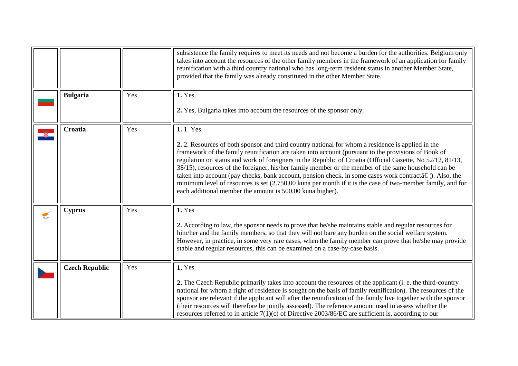<span id="page-3-3"></span><span id="page-3-2"></span><span id="page-3-1"></span><span id="page-3-0"></span>

|   |                       |     | subsistence the family requires to meet its needs and not become a burden for the authorities. Belgium only<br>takes into account the resources of the other family members in the framework of an application for family<br>reunification with a third country national who has long-term resident status in another Member State,<br>provided that the family was already constituted in the other Member State.                                                                                                                                                                                                                                                                                                                |
|---|-----------------------|-----|-----------------------------------------------------------------------------------------------------------------------------------------------------------------------------------------------------------------------------------------------------------------------------------------------------------------------------------------------------------------------------------------------------------------------------------------------------------------------------------------------------------------------------------------------------------------------------------------------------------------------------------------------------------------------------------------------------------------------------------|
|   | <b>Bulgaria</b>       | Yes | 1. Yes.<br>2. Yes, Bulgaria takes into account the resources of the sponsor only.                                                                                                                                                                                                                                                                                                                                                                                                                                                                                                                                                                                                                                                 |
|   | Croatia               | Yes | 1.1. Yes.<br>2. 2. Resources of both sponsor and third country national for whom a residence is applied in the<br>framework of the family reunification are taken into account (pursuant to the provisions of Book of<br>regulation on status and work of foreigners in the Republic of Croatia (Official Gazette, No 52/12, 81/13,<br>38/15), resources of the foreigner, his/her family member or the member of the same household can be<br>taken into account (pay checks, bank account, pension check, in some cases work contractâ€!). Also, the<br>minimum level of resources is set (2.750,00 kuna per month if it is the case of two-member family, and for<br>each additional member the amount is 500,00 kuna higher). |
| € | <b>Cyprus</b>         | Yes | 1. Yes<br>2. According to law, the sponsor needs to prove that he/she maintains stable and regular resources for<br>him/her and the family members, so that they will not bare any burden on the social welfare system.<br>However, in practice, in some very rare cases, when the family member can prove that he/she may provide<br>stable and regular resources, this can be examined on a case-by-case basis.                                                                                                                                                                                                                                                                                                                 |
|   | <b>Czech Republic</b> | Yes | 1. Yes.<br>2. The Czech Republic primarily takes into account the resources of the applicant (i. e. the third-country<br>national for whom a right of residence is sought on the basis of family reunification). The resources of the<br>sponsor are relevant if the applicant will after the reunification of the family live together with the sponsor<br>(their resources will therefore be jointly assessed). The reference amount used to assess whether the<br>resources referred to in article $7(1)(c)$ of Directive 2003/86/EC are sufficient is, according to our                                                                                                                                                       |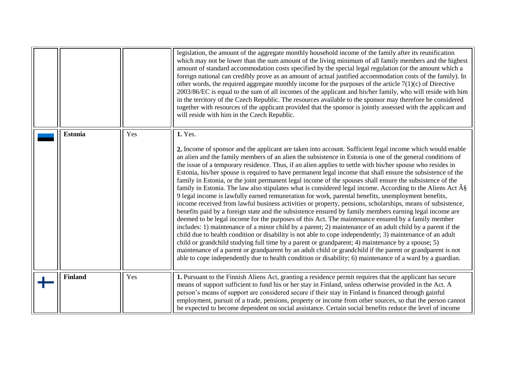<span id="page-4-1"></span><span id="page-4-0"></span>

|                |     | legislation, the amount of the aggregate monthly household income of the family after its reunification<br>which may not be lower than the sum amount of the living minimum of all family members and the highest<br>amount of standard accommodation costs specified by the special legal regulation (or the amount which a<br>foreign national can credibly prove as an amount of actual justified accommodation costs of the family). In<br>other words, the required aggregate monthly income for the purposes of the article $7(1)(c)$ of Directive<br>2003/86/EC is equal to the sum of all incomes of the applicant and his/her family, who will reside with him<br>in the territory of the Czech Republic. The resources available to the sponsor may therefore be considered<br>together with resources of the applicant provided that the sponsor is jointly assessed with the applicant and<br>will reside with him in the Czech Republic.                                                                                                                                                                                                                                                                                                                                                                                                                                                                                                                                                                                                                                                                                                                                     |
|----------------|-----|-------------------------------------------------------------------------------------------------------------------------------------------------------------------------------------------------------------------------------------------------------------------------------------------------------------------------------------------------------------------------------------------------------------------------------------------------------------------------------------------------------------------------------------------------------------------------------------------------------------------------------------------------------------------------------------------------------------------------------------------------------------------------------------------------------------------------------------------------------------------------------------------------------------------------------------------------------------------------------------------------------------------------------------------------------------------------------------------------------------------------------------------------------------------------------------------------------------------------------------------------------------------------------------------------------------------------------------------------------------------------------------------------------------------------------------------------------------------------------------------------------------------------------------------------------------------------------------------------------------------------------------------------------------------------------------------|
| <b>Estonia</b> | Yes | 1. Yes.<br>2. Income of sponsor and the applicant are taken into account. Sufficient legal income which would enable<br>an alien and the family members of an alien the subsistence in Estonia is one of the general conditions of<br>the issue of a temporary residence. Thus, if an alien applies to settle with his/her spouse who resides in<br>Estonia, his/her spouse is required to have permanent legal income that shall ensure the subsistence of the<br>family in Estonia, or the joint permanent legal income of the spouses shall ensure the subsistence of the<br>family in Estonia. The law also stipulates what is considered legal income. According to the Aliens Act §<br>9 legal income is lawfully earned remuneration for work, parental benefits, unemployment benefits,<br>income received from lawful business activities or property, pensions, scholarships, means of subsistence,<br>benefits paid by a foreign state and the subsistence ensured by family members earning legal income are<br>deemed to be legal income for the purposes of this Act. The maintenance ensured by a family member<br>includes: 1) maintenance of a minor child by a parent; 2) maintenance of an adult child by a parent if the<br>child due to health condition or disability is not able to cope independently; 3) maintenance of an adult<br>child or grandchild studying full time by a parent or grandparent; 4) maintenance by a spouse; 5)<br>maintenance of a parent or grandparent by an adult child or grandchild if the parent or grandparent is not<br>able to cope independently due to health condition or disability; 6) maintenance of a ward by a guardian. |
| <b>Finland</b> | Yes | 1. Pursuant to the Finnish Aliens Act, granting a residence permit requires that the applicant has secure<br>means of support sufficient to fund his or her stay in Finland, unless otherwise provided in the Act. A<br>person's means of support are considered secure if their stay in Finland is financed through gainful<br>employment, pursuit of a trade, pensions, property or income from other sources, so that the person cannot<br>be expected to become dependent on social assistance. Certain social benefits reduce the level of income                                                                                                                                                                                                                                                                                                                                                                                                                                                                                                                                                                                                                                                                                                                                                                                                                                                                                                                                                                                                                                                                                                                                    |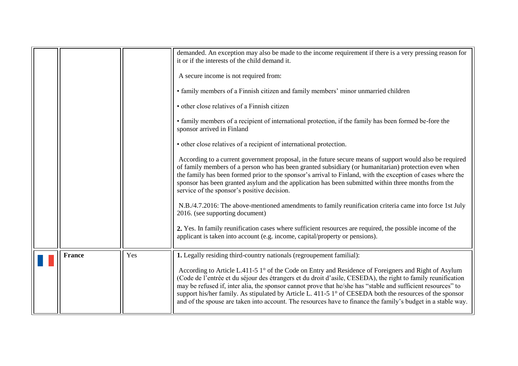<span id="page-5-0"></span>

|               |     | demanded. An exception may also be made to the income requirement if there is a very pressing reason for<br>it or if the interests of the child demand it.<br>A secure income is not required from:<br>• family members of a Finnish citizen and family members' minor unmarried children<br>· other close relatives of a Finnish citizen<br>• family members of a recipient of international protection, if the family has been formed be-fore the<br>sponsor arrived in Finland<br>• other close relatives of a recipient of international protection.<br>According to a current government proposal, in the future secure means of support would also be required<br>of family members of a person who has been granted subsidiary (or humanitarian) protection even when<br>the family has been formed prior to the sponsor's arrival to Finland, with the exception of cases where the<br>sponsor has been granted asylum and the application has been submitted within three months from the<br>service of the sponsor's positive decision.<br>N.B./4.7.2016: The above-mentioned amendments to family reunification criteria came into force 1st July<br>2016. (see supporting document)<br>2. Yes. In family reunification cases where sufficient resources are required, the possible income of the<br>applicant is taken into account (e.g. income, capital/property or pensions). |
|---------------|-----|----------------------------------------------------------------------------------------------------------------------------------------------------------------------------------------------------------------------------------------------------------------------------------------------------------------------------------------------------------------------------------------------------------------------------------------------------------------------------------------------------------------------------------------------------------------------------------------------------------------------------------------------------------------------------------------------------------------------------------------------------------------------------------------------------------------------------------------------------------------------------------------------------------------------------------------------------------------------------------------------------------------------------------------------------------------------------------------------------------------------------------------------------------------------------------------------------------------------------------------------------------------------------------------------------------------------------------------------------------------------------------------------|
| <b>France</b> | Yes | 1. Legally residing third-country nationals (regroupement familial):<br>According to Article L.411-5 1° of the Code on Entry and Residence of Foreigners and Right of Asylum<br>(Code de l'entrée et du séjour des étrangers et du droit d'asile, CESEDA), the right to family reunification<br>may be refused if, inter alia, the sponsor cannot prove that he/she has "stable and sufficient resources" to<br>support his/her family. As stipulated by Article L. 411-5 1° of CESEDA both the resources of the sponsor<br>and of the spouse are taken into account. The resources have to finance the family's budget in a stable way.                                                                                                                                                                                                                                                                                                                                                                                                                                                                                                                                                                                                                                                                                                                                                     |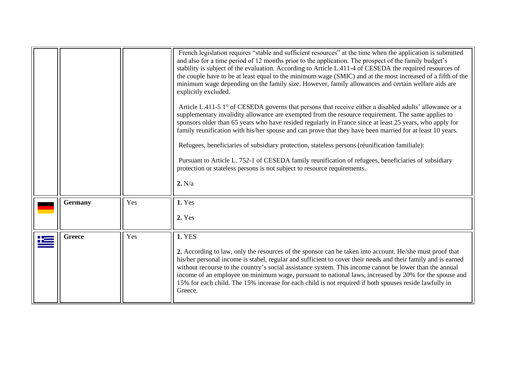<span id="page-6-1"></span><span id="page-6-0"></span>

|            |                |     | French legislation requires "stable and sufficient resources" at the time when the application is submitted<br>and also for a time period of 12 months prior to the application. The prospect of the family budget's<br>stability is subject of the evaluation. According to Article L.411-4 of CESEDA the required resources of<br>the couple have to be at least equal to the minimum wage (SMIC) and at the most increased of a fifth of the<br>minimum wage depending on the family size. However, family allowances and certain welfare aids are<br>explicitly excluded.<br>Article L.411-5 1° of CESEDA governs that persons that receive either a disabled adults' allowance or a<br>supplementary invalidity allowance are exempted from the resource requirement. The same applies to<br>sponsors older than 65 years who have resided regularly in France since at least 25 years, who apply for<br>family reunification with his/her spouse and can prove that they have been married for at least 10 years.<br>Refugees, beneficiaries of subsidiary protection, stateless persons (réunification familiale):<br>Pursuant to Article L. 752-1 of CESEDA family reunification of refugees, beneficiaries of subsidiary<br>protection or stateless persons is not subject to resource requirements.<br>2. N/a |
|------------|----------------|-----|-------------------------------------------------------------------------------------------------------------------------------------------------------------------------------------------------------------------------------------------------------------------------------------------------------------------------------------------------------------------------------------------------------------------------------------------------------------------------------------------------------------------------------------------------------------------------------------------------------------------------------------------------------------------------------------------------------------------------------------------------------------------------------------------------------------------------------------------------------------------------------------------------------------------------------------------------------------------------------------------------------------------------------------------------------------------------------------------------------------------------------------------------------------------------------------------------------------------------------------------------------------------------------------------------------------------------|
|            | <b>Germany</b> | Yes | 1. Yes<br>2. Yes                                                                                                                                                                                                                                                                                                                                                                                                                                                                                                                                                                                                                                                                                                                                                                                                                                                                                                                                                                                                                                                                                                                                                                                                                                                                                                        |
| <u> 12</u> | <b>Greece</b>  | Yes | <b>1. YES</b><br>2. According to law, only the resources of the sponsor can be taken into account. He/she must proof that<br>his/her personal income is stabel, regular and sufficient to cover their needs and their family and is earned<br>without recourse to the country's social assistance system. This income cannot be lower than the annual<br>income of an employee on minimum wage, pursuant to national laws, increased by 20% for the spouse and<br>15% for each child. The 15% increase for each child is not required if both spouses reside lawfully in<br>Greece.                                                                                                                                                                                                                                                                                                                                                                                                                                                                                                                                                                                                                                                                                                                                     |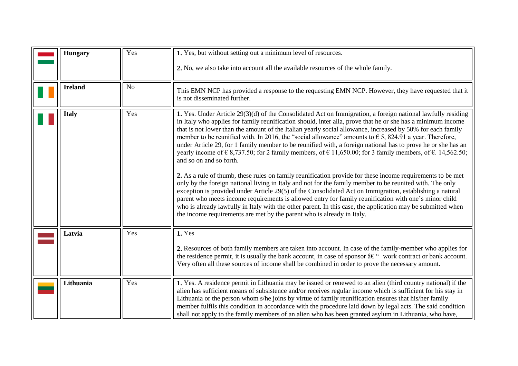<span id="page-7-4"></span><span id="page-7-3"></span><span id="page-7-2"></span><span id="page-7-1"></span><span id="page-7-0"></span>

| <b>Hungary</b> | Yes            | 1. Yes, but without setting out a minimum level of resources.                                                                                                                                                                                                                                                                                                                                                                                                                                                                                                                                                                                                                                                                                                                                                                                                                                                                                                                                                                                                                                                                                                                                                                                                                                                                                                                           |
|----------------|----------------|-----------------------------------------------------------------------------------------------------------------------------------------------------------------------------------------------------------------------------------------------------------------------------------------------------------------------------------------------------------------------------------------------------------------------------------------------------------------------------------------------------------------------------------------------------------------------------------------------------------------------------------------------------------------------------------------------------------------------------------------------------------------------------------------------------------------------------------------------------------------------------------------------------------------------------------------------------------------------------------------------------------------------------------------------------------------------------------------------------------------------------------------------------------------------------------------------------------------------------------------------------------------------------------------------------------------------------------------------------------------------------------------|
|                |                | 2. No, we also take into account all the available resources of the whole family.                                                                                                                                                                                                                                                                                                                                                                                                                                                                                                                                                                                                                                                                                                                                                                                                                                                                                                                                                                                                                                                                                                                                                                                                                                                                                                       |
| <b>Ireland</b> | N <sub>o</sub> | This EMN NCP has provided a response to the requesting EMN NCP. However, they have requested that it<br>is not disseminated further.                                                                                                                                                                                                                                                                                                                                                                                                                                                                                                                                                                                                                                                                                                                                                                                                                                                                                                                                                                                                                                                                                                                                                                                                                                                    |
| <b>Italy</b>   | Yes            | 1. Yes. Under Article 29(3)(d) of the Consolidated Act on Immigration, a foreign national lawfully residing<br>in Italy who applies for family reunification should, inter alia, prove that he or she has a minimum income<br>that is not lower than the amount of the Italian yearly social allowance, increased by 50% for each family<br>member to be reunified with. In 2016, the "social allowance" amounts to $\epsilon$ 5, 824.91 a year. Therefore,<br>under Article 29, for 1 family member to be reunified with, a foreign national has to prove he or she has an<br>yearly income of $\epsilon$ 8,737.50; for 2 family members, of $\epsilon$ 11,650.00; for 3 family members, of $\epsilon$ . 14,562.50;<br>and so on and so forth.<br>2. As a rule of thumb, these rules on family reunification provide for these income requirements to be met<br>only by the foreign national living in Italy and not for the family member to be reunited with. The only<br>exception is provided under Article 29(5) of the Consolidated Act on Immigration, establishing a natural<br>parent who meets income requirements is allowed entry for family reunification with one's minor child<br>who is already lawfully in Italy with the other parent. In this case, the application may be submitted when<br>the income requirements are met by the parent who is already in Italy. |
| Latvia         | Yes            | 1. Yes<br>2. Resources of both family members are taken into account. In case of the family-member who applies for<br>the residence permit, it is usually the bank account, in case of sponsor $\hat{a} \in \mathcal{C}$ work contract or bank account.<br>Very often all these sources of income shall be combined in order to prove the necessary amount.                                                                                                                                                                                                                                                                                                                                                                                                                                                                                                                                                                                                                                                                                                                                                                                                                                                                                                                                                                                                                             |
| Lithuania      | Yes            | 1. Yes. A residence permit in Lithuania may be issued or renewed to an alien (third country national) if the<br>alien has sufficient means of subsistence and/or receives regular income which is sufficient for his stay in<br>Lithuania or the person whom s/he joins by virtue of family reunification ensures that his/her family<br>member fulfils this condition in accordance with the procedure laid down by legal acts. The said condition<br>shall not apply to the family members of an alien who has been granted asylum in Lithuania, who have,                                                                                                                                                                                                                                                                                                                                                                                                                                                                                                                                                                                                                                                                                                                                                                                                                            |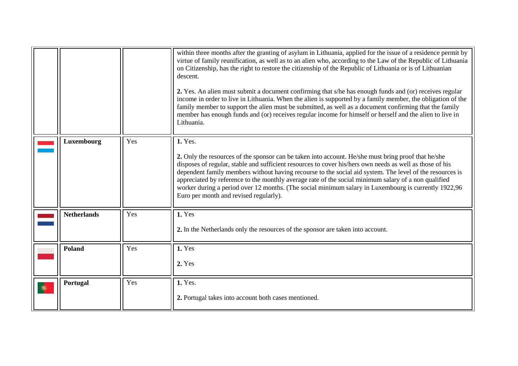<span id="page-8-3"></span><span id="page-8-2"></span><span id="page-8-1"></span><span id="page-8-0"></span>

|   |                    |     | within three months after the granting of asylum in Lithuania, applied for the issue of a residence permit by<br>virtue of family reunification, as well as to an alien who, according to the Law of the Republic of Lithuania<br>on Citizenship, has the right to restore the citizenship of the Republic of Lithuania or is of Lithuanian<br>descent.<br>2. Yes. An alien must submit a document confirming that s/he has enough funds and (or) receives regular<br>income in order to live in Lithuania. When the alien is supported by a family member, the obligation of the<br>family member to support the alien must be submitted, as well as a document confirming that the family<br>member has enough funds and (or) receives regular income for himself or herself and the alien to live in<br>Lithuania. |
|---|--------------------|-----|-----------------------------------------------------------------------------------------------------------------------------------------------------------------------------------------------------------------------------------------------------------------------------------------------------------------------------------------------------------------------------------------------------------------------------------------------------------------------------------------------------------------------------------------------------------------------------------------------------------------------------------------------------------------------------------------------------------------------------------------------------------------------------------------------------------------------|
|   | Luxembourg         | Yes | 1. Yes.<br>2. Only the resources of the sponsor can be taken into account. He/she must bring proof that he/she<br>disposes of regular, stable and sufficient resources to cover his/hers own needs as well as those of his<br>dependent family members without having recourse to the social aid system. The level of the resources is<br>appreciated by reference to the monthly average rate of the social minimum salary of a non qualified<br>worker during a period over 12 months. (The social minimum salary in Luxembourg is currently 1922,96<br>Euro per month and revised regularly).                                                                                                                                                                                                                      |
|   | <b>Netherlands</b> | Yes | 1. Yes<br>2. In the Netherlands only the resources of the sponsor are taken into account.                                                                                                                                                                                                                                                                                                                                                                                                                                                                                                                                                                                                                                                                                                                             |
|   | Poland             | Yes | 1. Yes<br>2. Yes                                                                                                                                                                                                                                                                                                                                                                                                                                                                                                                                                                                                                                                                                                                                                                                                      |
| ۰ | Portugal           | Yes | 1. Yes.<br>2. Portugal takes into account both cases mentioned.                                                                                                                                                                                                                                                                                                                                                                                                                                                                                                                                                                                                                                                                                                                                                       |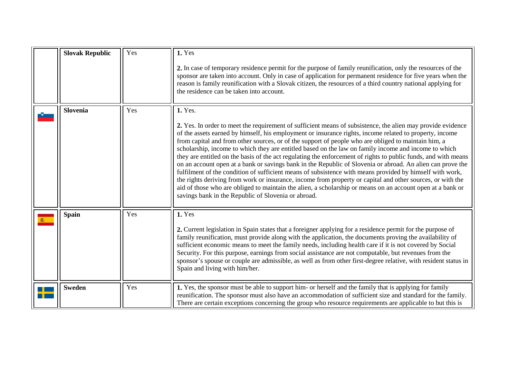<span id="page-9-3"></span><span id="page-9-2"></span><span id="page-9-1"></span><span id="page-9-0"></span>

| <b>Slovak Republic</b> | Yes | 1. Yes                                                                                                                                                                                                                                                                                                                                                                                                                                                                                                                                                                                                                                                                                                                                                                                                                                                                                                                                                                                                                                                                          |
|------------------------|-----|---------------------------------------------------------------------------------------------------------------------------------------------------------------------------------------------------------------------------------------------------------------------------------------------------------------------------------------------------------------------------------------------------------------------------------------------------------------------------------------------------------------------------------------------------------------------------------------------------------------------------------------------------------------------------------------------------------------------------------------------------------------------------------------------------------------------------------------------------------------------------------------------------------------------------------------------------------------------------------------------------------------------------------------------------------------------------------|
|                        |     | 2. In case of temporary residence permit for the purpose of family reunification, only the resources of the<br>sponsor are taken into account. Only in case of application for permanent residence for five years when the<br>reason is family reunification with a Slovak citizen, the resources of a third country national applying for<br>the residence can be taken into account.                                                                                                                                                                                                                                                                                                                                                                                                                                                                                                                                                                                                                                                                                          |
| Slovenia               | Yes | 1. Yes.<br>2. Yes. In order to meet the requirement of sufficient means of subsistence, the alien may provide evidence<br>of the assets earned by himself, his employment or insurance rights, income related to property, income<br>from capital and from other sources, or of the support of people who are obliged to maintain him, a<br>scholarship, income to which they are entitled based on the law on family income and income to which<br>they are entitled on the basis of the act regulating the enforcement of rights to public funds, and with means<br>on an account open at a bank or savings bank in the Republic of Slovenia or abroad. An alien can prove the<br>fulfilment of the condition of sufficient means of subsistence with means provided by himself with work,<br>the rights deriving from work or insurance, income from property or capital and other sources, or with the<br>aid of those who are obliged to maintain the alien, a scholarship or means on an account open at a bank or<br>savings bank in the Republic of Slovenia or abroad. |
| <b>Spain</b>           | Yes | 1. Yes<br>2. Current legislation in Spain states that a foreigner applying for a residence permit for the purpose of<br>family reunification, must provide along with the application, the documents proving the availability of<br>sufficient economic means to meet the family needs, including health care if it is not covered by Social<br>Security. For this purpose, earnings from social assistance are not computable, but revenues from the<br>sponsor's spouse or couple are admissible, as well as from other first-degree relative, with resident status in<br>Spain and living with him/her.                                                                                                                                                                                                                                                                                                                                                                                                                                                                      |
| <b>Sweden</b>          | Yes | 1. Yes, the sponsor must be able to support him- or herself and the family that is applying for family<br>reunification. The sponsor must also have an accommodation of sufficient size and standard for the family.<br>There are certain exceptions concerning the group who resource requirements are applicable to but this is                                                                                                                                                                                                                                                                                                                                                                                                                                                                                                                                                                                                                                                                                                                                               |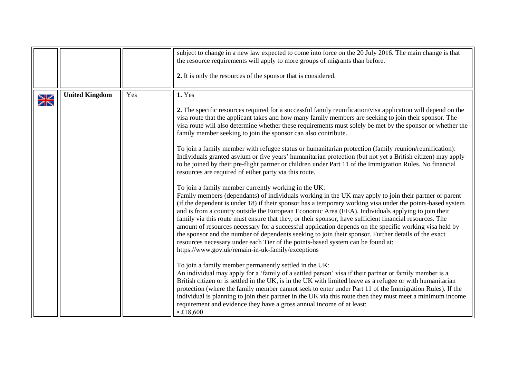<span id="page-10-0"></span>

|        |                       |     | subject to change in a new law expected to come into force on the 20 July 2016. The main change is that<br>the resource requirements will apply to more groups of migrants than before.<br>2. It is only the resources of the sponsor that is considered.                                                                                                                                                                                                                                                                                                                                                                                                                                                                                                                                                                                                                                                                                                                                                                                                                                                                                                                                                                                                                                                                                                                                                                                                                                                                                                                                                                                                                                                                                                                                                                                                                                                                                                                                                                                                                                                                                                                                                                                                                      |
|--------|-----------------------|-----|--------------------------------------------------------------------------------------------------------------------------------------------------------------------------------------------------------------------------------------------------------------------------------------------------------------------------------------------------------------------------------------------------------------------------------------------------------------------------------------------------------------------------------------------------------------------------------------------------------------------------------------------------------------------------------------------------------------------------------------------------------------------------------------------------------------------------------------------------------------------------------------------------------------------------------------------------------------------------------------------------------------------------------------------------------------------------------------------------------------------------------------------------------------------------------------------------------------------------------------------------------------------------------------------------------------------------------------------------------------------------------------------------------------------------------------------------------------------------------------------------------------------------------------------------------------------------------------------------------------------------------------------------------------------------------------------------------------------------------------------------------------------------------------------------------------------------------------------------------------------------------------------------------------------------------------------------------------------------------------------------------------------------------------------------------------------------------------------------------------------------------------------------------------------------------------------------------------------------------------------------------------------------------|
| $\geq$ | <b>United Kingdom</b> | Yes | 1. Yes<br>2. The specific resources required for a successful family reunification/visa application will depend on the<br>visa route that the applicant takes and how many family members are seeking to join their sponsor. The<br>visa route will also determine whether these requirements must solely be met by the sponsor or whether the<br>family member seeking to join the sponsor can also contribute.<br>To join a family member with refugee status or humanitarian protection (family reunion/reunification):<br>Individuals granted asylum or five years' humanitarian protection (but not yet a British citizen) may apply<br>to be joined by their pre-flight partner or children under Part 11 of the Immigration Rules. No financial<br>resources are required of either party via this route.<br>To join a family member currently working in the UK:<br>Family members (dependants) of individuals working in the UK may apply to join their partner or parent<br>(if the dependent is under 18) if their sponsor has a temporary working visa under the points-based system<br>and is from a country outside the European Economic Area (EEA). Individuals applying to join their<br>family via this route must ensure that they, or their sponsor, have sufficient financial resources. The<br>amount of resources necessary for a successful application depends on the specific working visa held by<br>the sponsor and the number of dependents seeking to join their sponsor. Further details of the exact<br>resources necessary under each Tier of the points-based system can be found at:<br>https://www.gov.uk/remain-in-uk-family/exceptions<br>To join a family member permanently settled in the UK:<br>An individual may apply for a 'family of a settled person' visa if their partner or family member is a<br>British citizen or is settled in the UK, is in the UK with limited leave as a refugee or with humanitarian<br>protection (where the family member cannot seek to enter under Part 11 of the Immigration Rules). If the<br>individual is planning to join their partner in the UK via this route then they must meet a minimum income<br>requirement and evidence they have a gross annual income of at least:<br>• £18,600 |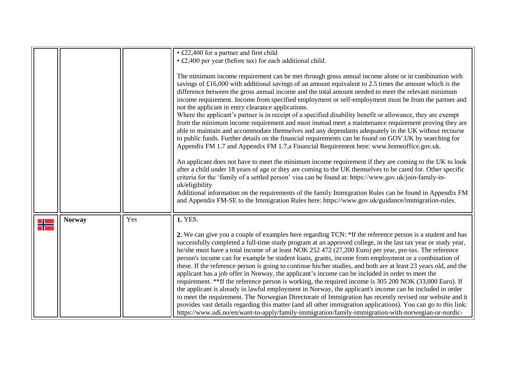<span id="page-11-0"></span>

|               |     | • £22,400 for a partner and first child                                                                                                                                                                                                                                                                                                                                                                                                                                                                                                                                                                                                                                                                                                                                                                                                                                                                                                                                                                                                                                                                                                                                                                                                                                                                                                                    |
|---------------|-----|------------------------------------------------------------------------------------------------------------------------------------------------------------------------------------------------------------------------------------------------------------------------------------------------------------------------------------------------------------------------------------------------------------------------------------------------------------------------------------------------------------------------------------------------------------------------------------------------------------------------------------------------------------------------------------------------------------------------------------------------------------------------------------------------------------------------------------------------------------------------------------------------------------------------------------------------------------------------------------------------------------------------------------------------------------------------------------------------------------------------------------------------------------------------------------------------------------------------------------------------------------------------------------------------------------------------------------------------------------|
|               |     | • £2,400 per year (before tax) for each additional child.                                                                                                                                                                                                                                                                                                                                                                                                                                                                                                                                                                                                                                                                                                                                                                                                                                                                                                                                                                                                                                                                                                                                                                                                                                                                                                  |
|               |     | The minimum income requirement can be met through gross annual income alone or in combination with<br>savings of £16,000 with additional savings of an amount equivalent to 2.5 times the amount which is the<br>difference between the gross annual income and the total amount needed to meet the relevant minimum<br>income requirement. Income from specified employment or self-employment must be from the partner and<br>not the applicant in entry clearance applications.<br>Where the applicant's partner is in receipt of a specified disability benefit or allowance, they are exempt<br>from the minimum income requirement and must instead meet a maintenance requirement proving they are<br>able to maintain and accommodate themselves and any dependants adequately in the UK without recourse<br>to public funds. Further details on the financial requirements can be found on GOV.UK by searching for<br>Appendix FM 1.7 and Appendix FM 1.7.a Financial Requirement here: www.homeoffice.gov.uk.<br>An applicant does not have to meet the minimum income requirement if they are coming to the UK to look<br>after a child under 18 years of age or they are coming to the UK themselves to be cared for. Other specific<br>criteria for the 'family of a settled person' visa can be found at: https://www.gov.uk/join-family-in- |
|               |     | uk/eligibility<br>Additional information on the requirements of the family Immigration Rules can be found in Appendix FM<br>and Appendix FM-SE to the Immigration Rules here: https://www.gov.uk/guidance/immigration-rules.                                                                                                                                                                                                                                                                                                                                                                                                                                                                                                                                                                                                                                                                                                                                                                                                                                                                                                                                                                                                                                                                                                                               |
|               |     |                                                                                                                                                                                                                                                                                                                                                                                                                                                                                                                                                                                                                                                                                                                                                                                                                                                                                                                                                                                                                                                                                                                                                                                                                                                                                                                                                            |
| <b>Norway</b> | Yes | 1. YES.                                                                                                                                                                                                                                                                                                                                                                                                                                                                                                                                                                                                                                                                                                                                                                                                                                                                                                                                                                                                                                                                                                                                                                                                                                                                                                                                                    |
|               |     | 2. We can give you a couple of examples here regarding TCN: *If the reference person is a student and has<br>successfully completed a full-time study program at an approved college, in the last tax year or study year,<br>he/she must have a total income of at least NOK 252 472 (27,200 Euro) per year, pre-tax. The reference<br>person's income can for example be student loans, grants, income from employment or a combination of<br>these. If the reference person is going to continue his/her studies, and both are at least 23 years old, and the<br>applicant has a job offer in Norway, the applicant's income can be included in order to meet the<br>requirement. **If the reference person is working, the required income is 305 200 NOK (33,000 Euro). If<br>the applicant is already in lawful employment in Norway, the applicant's income can be included in order<br>to meet the requirement. The Norwegian Directorate of Immigration has recently revised our website and it<br>provides vast details regarding this matter (and all other immigration applications). You can go to this link:<br>https://www.udi.no/en/want-to-apply/family-immigration/family-immigration-with-norwegian-or-nordic-                                                                                                                           |